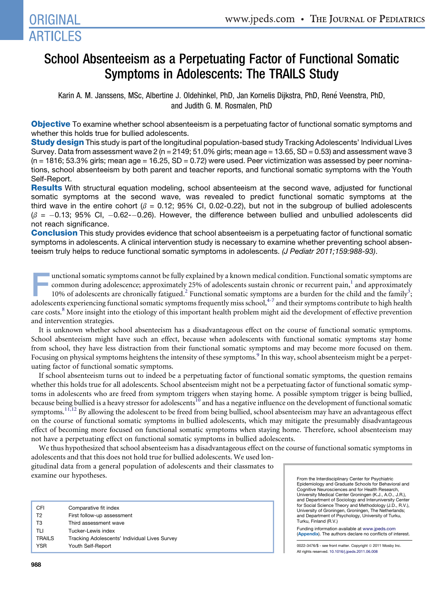# School Absenteeism as a Perpetuating Factor of Functional Somatic Symptoms in Adolescents: The TRAILS Study

Karin A. M. Janssens, MSc, Albertine J. Oldehinkel, PhD, Jan Kornelis Dijkstra, PhD, Rene Veenstra, PhD, and Judith G. M. Rosmalen, PhD

**Objective** To examine whether school absenteeism is a perpetuating factor of functional somatic symptoms and whether this holds true for bullied adolescents.

**Study design** This study is part of the longitudinal population-based study Tracking Adolescents' Individual Lives Survey. Data from assessment wave 2 (n = 2149; 51.0% girls; mean age = 13.65, SD = 0.53) and assessment wave 3  $(n = 1816; 53.3\%$  girls; mean age = 16.25, SD = 0.72) were used. Peer victimization was assessed by peer nominations, school absenteeism by both parent and teacher reports, and functional somatic symptoms with the Youth Self-Report.

**Results** With structural equation modeling, school absenteeism at the second wave, adjusted for functional somatic symptoms at the second wave, was revealed to predict functional somatic symptoms at the third wave in the entire cohort ( $\beta$  = 0.12; 95% CI, 0.02-0.22), but not in the subgroup of bullied adolescents  $(\beta = -0.13; 95\% \text{ Cl}, -0.62--0.26)$ . However, the difference between bullied and unbullied adolescents did not reach significance.

**Conclusion** This study provides evidence that school absenteeism is a perpetuating factor of functional somatic symptoms in adolescents. A clinical intervention study is necessary to examine whether preventing school absenteeism truly helps to reduce functional somatic symptoms in adolescents. *(J Pediatr 2011;159:988-93)*.

unctional somatic symptoms cannot be fully explained by a known medical condition. Functional somatic symptoms are<br>common during adolescence; approximately [2](#page-4-0)5% of adolescents sustain chronic or recurrent pain,<sup>1</sup> and appro common during adolescence; approximately 25% of adolescents sustain chronic or recurrent pain, $1$  and approximately adolescents experiencing functional somatic symptoms frequently miss school, $4-7$  and their symptoms contribute to high health care costs.<sup>[8](#page-4-0)</sup> More insight into the etiology of this important health problem might aid the development of effective prevention and intervention strategies.

It is unknown whether school absenteeism has a disadvantageous effect on the course of functional somatic symptoms. School absenteeism might have such an effect, because when adolescents with functional somatic symptoms stay home from school, they have less distraction from their functional somatic symptoms and may become more focused on them. Focusing on physical symptoms heightens the intensity of these symptoms.<sup>[9](#page-4-0)</sup> In this way, school absenteeism might be a perpetuating factor of functional somatic symptoms.

If school absenteeism turns out to indeed be a perpetuating factor of functional somatic symptoms, the question remains whether this holds true for all adolescents. School absenteeism might not be a perpetuating factor of functional somatic symptoms in adolescents who are freed from symptom triggers when staying home. A possible symptom trigger is being bullied, because being bullied is a heavy stressor for adolescents<sup>[10](#page-4-0)</sup> and has a negative influence on the development of functional somatic symptoms.<sup>[11,12](#page-4-0)</sup> By allowing the adolescent to be freed from being bullied, school absenteeism may have an advantageous effect on the course of functional somatic symptoms in bullied adolescents, which may mitigate the presumably disadvantageous effect of becoming more focused on functional somatic symptoms when staying home. Therefore, school absenteeism may not have a perpetuating effect on functional somatic symptoms in bullied adolescents.

We thus hypothesized that school absenteeism has a disadvantageous effect on the course of functional somatic symptoms in adolescents and that this does not hold true for bullied adolescents. We used lon-

gitudinal data from a general population of adolescents and their classmates to examine our hypotheses. The Interdisciplinary Center for Psychiatric

| <b>CFI</b>     | Comparative fit index                         |
|----------------|-----------------------------------------------|
| T <sub>2</sub> | First follow-up assessment                    |
| T3             | Third assessment wave                         |
| TLI            | Tucker-Lewis index                            |
| <b>TRAILS</b>  | Tracking Adolescents' Individual Lives Survey |
| <b>YSR</b>     | Youth Self-Report                             |
|                |                                               |

Epidemiology and Graduate Schools for Behavioral and Cognitive Neurosciences and for Health Research, University Medical Center Groningen (K.J., A.O., J.R.), and Department of Sociology and Interuniversity Center for Social Science Theory and Methodology (J.D., R.V.), University of Groningen, Groningen, The Netherlands; and Department of Psychology, University of Turku, Turku, Finland (R.V.)

Funding information available at [www.jpeds.com](http://www.jpeds.com) ([Appendix](#page-6-0)). The authors declare no conflicts of interest.

0022-3476/\$ - see front matter. Copyright © 2011 Mosby Inc. All rights reserved. [10.1016/j.jpeds.2011.06.008](http://dx.doi.org/10.1016/j.jpeds.2011.06.008)

**ORIGINAL ARTICLES**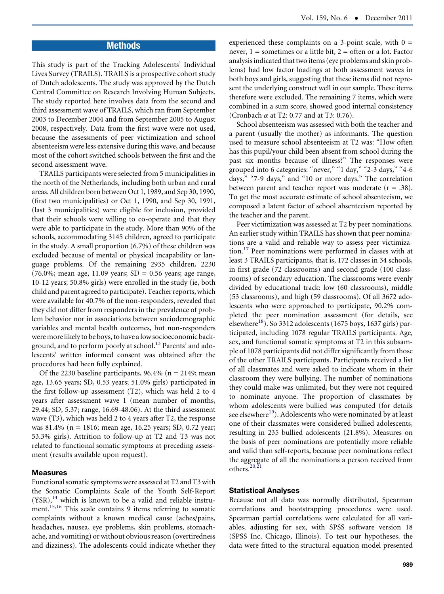#### **Methods**

This study is part of the Tracking Adolescents' Individual Lives Survey (TRAILS). TRAILS is a prospective cohort study of Dutch adolescents. The study was approved by the Dutch Central Committee on Research Involving Human Subjects. The study reported here involves data from the second and third assessment wave of TRAILS, which ran from September 2003 to December 2004 and from September 2005 to August 2008, respectively. Data from the first wave were not used, because the assessments of peer victimization and school absenteeism were less extensive during this wave, and because most of the cohort switched schools between the first and the second assessment wave.

TRAILS participants were selected from 5 municipalities in the north of the Netherlands, including both urban and rural areas. All children born between Oct 1, 1989, and Sep 30, 1990, (first two municipalities) or Oct 1, 1990, and Sep 30, 1991, (last 3 municipalities) were eligible for inclusion, provided that their schools were willing to co-operate and that they were able to participate in the study. More than 90% of the schools, accommodating 3145 children, agreed to participate in the study. A small proportion (6.7%) of these children was excluded because of mental or physical incapability or language problems. Of the remaining 2935 children, 2230 (76.0%; mean age, 11.09 years;  $SD = 0.56$  years; age range, 10-12 years; 50.8% girls) were enrolled in the study (ie, both child and parent agreed to participate). Teacher reports, which were available for 40.7% of the non-responders, revealed that they did not differ from responders in the prevalence of problem behavior nor in associations between sociodemographic variables and mental health outcomes, but non-responders were more likely to be boys, to have a low socioeconomic back-ground, and to perform poorly at school.<sup>[13](#page-4-0)</sup> Parents' and adolescents' written informed consent was obtained after the procedures had been fully explained.

Of the 2230 baseline participants,  $96.4\%$  (n = 2149; mean age, 13.65 years; SD, 0.53 years; 51.0% girls) participated in the first follow-up assessment (T2), which was held 2 to 4 years after assessment wave 1 (mean number of months, 29.44; SD, 5.37; range, 16.69-48.06). At the third assessment wave (T3), which was held 2 to 4 years after T2, the response was 81.4% (n = 1816; mean age, 16.25 years; SD, 0.72 year; 53.3% girls). Attrition to follow-up at T2 and T3 was not related to functional somatic symptoms at preceding assessment (results available upon request).

#### Measures

Functional somatic symptoms were assessed at T2 and T3 with the Somatic Complaints Scale of the Youth Self-Report  $(YSR)$ ,<sup>[14](#page-4-0)</sup> which is known to be a valid and reliable instrument[.15,16](#page-4-0) This scale contains 9 items referring to somatic complaints without a known medical cause (aches/pains, headaches, nausea, eye problems, skin problems, stomachache, and vomiting) or without obvious reason (overtiredness and dizziness). The adolescents could indicate whether they

experienced these complaints on a 3-point scale, with  $0 =$ never,  $1 =$  sometimes or a little bit,  $2 =$  often or a lot. Factor analysis indicated that two items (eye problems and skin problems) had low factor loadings at both assessment waves in both boys and girls, suggesting that these items did not represent the underlying construct well in our sample. These items therefore were excluded. The remaining 7 items, which were combined in a sum score, showed good internal consistency (Cronbach  $\alpha$  at T2: 0.77 and at T3: 0.76).

School absenteeism was assessed with both the teacher and a parent (usually the mother) as informants. The question used to measure school absenteeism at T2 was: ''How often has this pupil/your child been absent from school during the past six months because of illness?'' The responses were grouped into 6 categories: "never," "1 day," "2-3 days," "4-6 days," "7-9 days," and "10 or more days." The correlation between parent and teacher report was moderate  $(r = .38)$ . To get the most accurate estimate of school absenteeism, we composed a latent factor of school absenteeism reported by the teacher and the parent.

Peer victimization was assessed at T2 by peer nominations. An earlier study within TRAILS has shown that peer nominations are a valid and reliable way to assess peer victimiza-tion.<sup>[17](#page-4-0)</sup> Peer nominations were performed in classes with at least 3 TRAILS participants, that is, 172 classes in 34 schools, in first grade (72 classrooms) and second grade (100 classrooms) of secondary education. The classrooms were evenly divided by educational track: low (60 classrooms), middle (53 classrooms), and high (59 classrooms). Of all 3672 adolescents who were approached to participate, 90.2% completed the peer nomination assessment (for details, see elsewhere<sup>[18](#page-5-0)</sup>). So 3312 adolescents (1675 boys, 1637 girls) participated, including 1078 regular TRAILS participants. Age, sex, and functional somatic symptoms at T2 in this subsample of 1078 participants did not differ significantly from those of the other TRAILS participants. Participants received a list of all classmates and were asked to indicate whom in their classroom they were bullying. The number of nominations they could make was unlimited, but they were not required to nominate anyone. The proportion of classmates by whom adolescents were bullied was computed (for details see elsewhere<sup>[19](#page-5-0)</sup>). Adolescents who were nominated by at least one of their classmates were considered bullied adolescents, resulting in 235 bullied adolescents (21.8%). Measures on the basis of peer nominations are potentially more reliable and valid than self-reports, because peer nominations reflect the aggregate of all the nominations a person received from others. $^{20,\tilde{21}}$ 

#### Statistical Analyses

Because not all data was normally distributed, Spearman correlations and bootstrapping procedures were used. Spearman partial correlations were calculated for all variables, adjusting for sex, with SPSS software version 18 (SPSS Inc, Chicago, Illinois). To test our hypotheses, the data were fitted to the structural equation model presented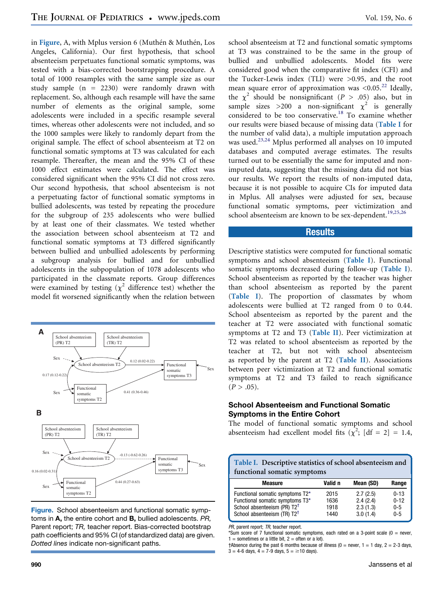<span id="page-2-0"></span>in Figure, A, with Mplus version 6 (Muthén & Muthén, Los Angeles, California). Our first hypothesis, that school absenteeism perpetuates functional somatic symptoms, was tested with a bias-corrected bootstrapping procedure. A total of 1000 resamples with the same sample size as our study sample (n = 2230) were randomly drawn with replacement. So, although each resample will have the same number of elements as the original sample, some adolescents were included in a specific resample several times, whereas other adolescents were not included, and so the 1000 samples were likely to randomly depart from the original sample. The effect of school absenteeism at T2 on functional somatic symptoms at T3 was calculated for each resample. Thereafter, the mean and the 95% CI of these 1000 effect estimates were calculated. The effect was considered significant when the 95% CI did not cross zero. Our second hypothesis, that school absenteeism is not a perpetuating factor of functional somatic symptoms in bullied adolescents, was tested by repeating the procedure for the subgroup of 235 adolescents who were bullied by at least one of their classmates. We tested whether the association between school absenteeism at T2 and functional somatic symptoms at T3 differed significantly between bullied and unbullied adolescents by performing a subgroup analysis for bullied and for unbullied adolescents in the subpopulation of 1078 adolescents who participated in the classmate reports. Group differences were examined by testing ( $\chi^2$  difference test) whether the model fit worsened significantly when the relation between



Figure. School absenteeism and functional somatic symptoms in A, the entire cohort and B, bullied adolescents. *PR,* Parent report; *TR,* teacher report. Bias-corrected bootstrap path coefficients and 95% CI (of standardized data) are given. *Dotted lines* indicate non-significant paths.

school absenteeism at T2 and functional somatic symptoms at T3 was constrained to be the same in the group of bullied and unbullied adolescents. Model fits were considered good when the comparative fit index (CFI) and the Tucker-Lewis index (TLI) were >0.95, and the root mean square error of approximation was  $\langle 0.05, ^{22}$  $\langle 0.05, ^{22}$  $\langle 0.05, ^{22}$  Ideally, the  $\chi^2$  should be nonsignificant (P > .05) also, but in sample sizes >200 a non-significant  $\chi^2$  is generally considered to be too conservative.<sup>[18](#page-5-0)</sup> To examine whether our results were biased because of missing data (Table I for the number of valid data), a multiple imputation approach was used.<sup>[23,24](#page-5-0)</sup> Mplus performed all analyses on 10 imputed databases and computed average estimates. The results turned out to be essentially the same for imputed and nonimputed data, suggesting that the missing data did not bias our results. We report the results of non-imputed data, because it is not possible to acquire CIs for imputed data in Mplus. All analyses were adjusted for sex, because functional somatic symptoms, peer victimization and school absenteeism are known to be sex-dependent.<sup>[19,25,26](#page-5-0)</sup>

## Results

Descriptive statistics were computed for functional somatic symptoms and school absenteeism (Table I). Functional somatic symptoms decreased during follow-up (Table I). School absenteeism as reported by the teacher was higher than school absenteeism as reported by the parent (Table I). The proportion of classmates by whom adolescents were bullied at T2 ranged from 0 to 0.44. School absenteeism as reported by the parent and the teacher at T2 were associated with functional somatic symptoms at T2 and T3 ([Table II](#page-3-0)). Peer victimization at T2 was related to school absenteeism as reported by the teacher at T2, but not with school absenteeism as reported by the parent at T2 ([Table II](#page-3-0)). Associations between peer victimization at T2 and functional somatic symptoms at T2 and T3 failed to reach significance  $(P > .05)$ .

#### School Absenteeism and Functional Somatic Symptoms in the Entire Cohort

The model of functional somatic symptoms and school School absenteeism  $\parallel$  School absenteeism  $\parallel$  School absenteeism  $\parallel$  absenteeism had excellent model fits  $(\chi^2; [\text{df} = 2] = 1.4,$ 

| Table I. Descriptive statistics of school absenteeism and<br>functional somatic symptoms                                                                 |                              |                                              |                                            |  |  |  |  |
|----------------------------------------------------------------------------------------------------------------------------------------------------------|------------------------------|----------------------------------------------|--------------------------------------------|--|--|--|--|
| <b>Measure</b>                                                                                                                                           | Valid n                      | Mean (SD)                                    | Range                                      |  |  |  |  |
| Functional somatic symptoms T2*<br>Functional somatic symptoms T3*<br>School absenteeism (PR) T2 <sup>+</sup><br>School absenteeism (TR) T2 <sup>+</sup> | 2015<br>1636<br>1918<br>1440 | 2.7(2.5)<br>2.4(2.4)<br>2.3(1.3)<br>3.0(1.4) | $0 - 13$<br>$0 - 12$<br>$0 - 5$<br>$0 - 5$ |  |  |  |  |

PR, parent report; TR, teacher report.

\*Sum score of 7 functional somatic symptoms, each rated on a 3-point scale ( $0 =$  never,  $1 =$  sometimes or a little bit,  $2 =$  often or a lot).

†Absence during the past 6 months because of illness (0 = never, 1 = 1 day, 2 = 2-3 days,  $3 = 4-6$  days,  $4 = 7-9$  days,  $5 = \ge 10$  days).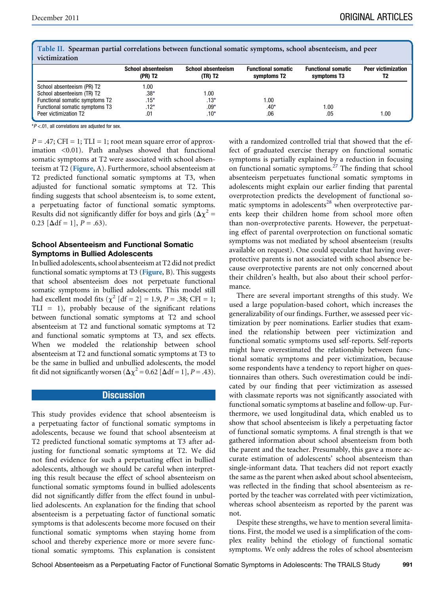| victimization                  |                                      |                                      |                                          |                                          |                          |  |  |  |
|--------------------------------|--------------------------------------|--------------------------------------|------------------------------------------|------------------------------------------|--------------------------|--|--|--|
|                                | <b>School absenteeism</b><br>(PR) T2 | <b>School absenteeism</b><br>(TR) T2 | <b>Functional somatic</b><br>symptoms T2 | <b>Functional somatic</b><br>symptoms T3 | Peer victimization<br>T2 |  |  |  |
| School absenteeism (PR) T2     | 1.00                                 |                                      |                                          |                                          |                          |  |  |  |
| School absenteeism (TR) T2     | $.38*$                               | 1.00                                 |                                          |                                          |                          |  |  |  |
| Functional somatic symptoms T2 | $.15^*$                              | $.13*$                               | 1.00                                     |                                          |                          |  |  |  |
| Functional somatic symptoms T3 | $.12*$                               | $.09*$                               | $.40*$                                   | 1.00                                     |                          |  |  |  |
| Peer victimization T2          | .01                                  | $.10*$                               | .06                                      | .05                                      | 1.00                     |  |  |  |

<span id="page-3-0"></span>Table II. Spearman partial correlations between functional somatic symptoms, school absenteeism, and peer victimization

 $*P < .01$ , all correlations are adjusted for sex.

 $P = .47$ ; CFI = 1; TLI = 1; root mean square error of approximation <0.01). Path analyses showed that functional somatic symptoms at T2 were associated with school absenteeism at T2 ([Figure](#page-2-0), A). Furthermore, school absenteeism at T2 predicted functional somatic symptoms at T3, when adjusted for functional somatic symptoms at T2. This finding suggests that school absenteeism is, to some extent, a perpetuating factor of functional somatic symptoms. Results did not significantly differ for boys and girls ( $\Delta\chi^2$  = 0.23  $[\Delta df = 1]$ ,  $P = .63$ ).

#### School Absenteeism and Functional Somatic Symptoms in Bullied Adolescents

In bullied adolescents, school absenteeism at T2 did not predict functional somatic symptoms at T3 ([Figure](#page-2-0), B). This suggests that school absenteeism does not perpetuate functional somatic symptoms in bullied adolescents. This model still had excellent model fits ( $\chi^2$  [df = 2] = 1.9, P = .38; CFI = 1;  $TLI = 1$ ), probably because of the significant relations between functional somatic symptoms at T2 and school absenteeism at T2 and functional somatic symptoms at T2 and functional somatic symptoms at T3, and sex effects. When we modeled the relationship between school absenteeism at T2 and functional somatic symptoms at T3 to be the same in bullied and unbullied adolescents, the model fit did not significantly worsen ( $\Delta \chi^2 = 0.62$  [ $\Delta df = 1$ ],  $P = .43$ ).

#### **Discussion**

This study provides evidence that school absenteeism is a perpetuating factor of functional somatic symptoms in adolescents, because we found that school absenteeism at T2 predicted functional somatic symptoms at T3 after adjusting for functional somatic symptoms at T2. We did not find evidence for such a perpetuating effect in bullied adolescents, although we should be careful when interpreting this result because the effect of school absenteeism on functional somatic symptoms found in bullied adolescents did not significantly differ from the effect found in unbullied adolescents. An explanation for the finding that school absenteeism is a perpetuating factor of functional somatic symptoms is that adolescents become more focused on their functional somatic symptoms when staying home from school and thereby experience more or more severe functional somatic symptoms. This explanation is consistent

with a randomized controlled trial that showed that the effect of graduated exercise therapy on functional somatic symptoms is partially explained by a reduction in focusing on functional somatic symptoms.[27](#page-5-0) The finding that school absenteeism perpetuates functional somatic symptoms in adolescents might explain our earlier finding that parental overprotection predicts the development of functional somatic symptoms in adolescents<sup>28</sup> when overprotective parents keep their children home from school more often than non-overprotective parents. However, the perpetuating effect of parental overprotection on functional somatic symptoms was not mediated by school absenteeism (results available on request). One could speculate that having overprotective parents is not associated with school absence because overprotective parents are not only concerned about their children's health, but also about their school performance.

There are several important strengths of this study. We used a large population-based cohort, which increases the generalizability of our findings. Further, we assessed peer victimization by peer nominations. Earlier studies that examined the relationship between peer victimization and functional somatic symptoms used self-reports. Self-reports might have overestimated the relationship between functional somatic symptoms and peer victimization, because some respondents have a tendency to report higher on questionnaires than others. Such overestimation could be indicated by our finding that peer victimization as assessed with classmate reports was not significantly associated with functional somatic symptoms at baseline and follow-up. Furthermore, we used longitudinal data, which enabled us to show that school absenteeism is likely a perpetuating factor of functional somatic symptoms. A final strength is that we gathered information about school absenteeism from both the parent and the teacher. Presumably, this gave a more accurate estimation of adolescents' school absenteeism than single-informant data. That teachers did not report exactly the same as the parent when asked about school absenteeism, was reflected in the finding that school absenteeism as reported by the teacher was correlated with peer victimization, whereas school absenteeism as reported by the parent was not.

Despite these strengths, we have to mention several limitations. First, the model we used is a simplification of the complex reality behind the etiology of functional somatic symptoms. We only address the roles of school absenteeism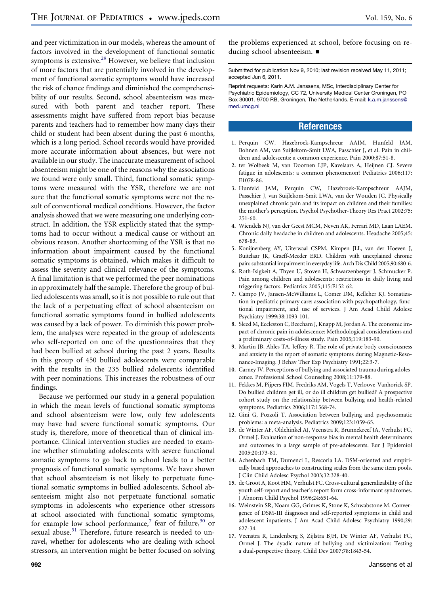<span id="page-4-0"></span>and peer victimization in our models, whereas the amount of factors involved in the development of functional somatic symptoms is extensive.<sup>[29](#page-5-0)</sup> However, we believe that inclusion of more factors that are potentially involved in the development of functional somatic symptoms would have increased the risk of chance findings and diminished the comprehensibility of our results. Second, school absenteeism was measured with both parent and teacher report. These assessments might have suffered from report bias because parents and teachers had to remember how many days their child or student had been absent during the past 6 months, which is a long period. School records would have provided more accurate information about absences, but were not available in our study. The inaccurate measurement of school absenteeism might be one of the reasons why the associations we found were only small. Third, functional somatic symptoms were measured with the YSR, therefore we are not sure that the functional somatic symptoms were not the result of conventional medical conditions. However, the factor analysis showed that we were measuring one underlying construct. In addition, the YSR explicitly stated that the symptoms had to occur without a medical cause or without an obvious reason. Another shortcoming of the YSR is that no information about impairment caused by the functional somatic symptoms is obtained, which makes it difficult to assess the severity and clinical relevance of the symptoms. A final limitation is that we performed the peer nominations in approximately half the sample. Therefore the group of bullied adolescents was small, so it is not possible to rule out that the lack of a perpetuating effect of school absenteeism on functional somatic symptoms found in bullied adolescents was caused by a lack of power. To diminish this power problem, the analyses were repeated in the group of adolescents who self-reported on one of the questionnaires that they had been bullied at school during the past 2 years. Results in this group of 450 bullied adolescents were comparable with the results in the 235 bullied adolescents identified with peer nominations. This increases the robustness of our findings.

Because we performed our study in a general population in which the mean levels of functional somatic symptoms and school absenteeism were low, only few adolescents may have had severe functional somatic symptoms. Our study is, therefore, more of theoretical than of clinical importance. Clinical intervention studies are needed to examine whether stimulating adolescents with severe functional somatic symptoms to go back to school leads to a better prognosis of functional somatic symptoms. We have shown that school absenteeism is not likely to perpetuate functional somatic symptoms in bullied adolescents. School absenteeism might also not perpetuate functional somatic symptoms in adolescents who experience other stressors at school associated with functional somatic symptoms, for example low school performance,<sup>7</sup> fear of failure,<sup>[30](#page-5-0)</sup> or sexual abuse.<sup>[31](#page-5-0)</sup> Therefore, future research is needed to unravel, whether for adolescents who are dealing with school stressors, an intervention might be better focused on solving

the problems experienced at school, before focusing on reducing school absenteeism.  $\blacksquare$ 

Submitted for publication Nov 9, 2010; last revision received May 11, 2011; accepted Jun 6, 2011.

Reprint requests: Karin A.M. Janssens, MSc, Interdisciplinary Center for Psychiatric Epidemiology, CC 72, University Medical Center Groningen, PO Box 30001, 9700 RB, Groningen, The Netherlands. E-mail: [k.a.m.janssens@](mailto:k.a.m.janssens@med.umcg.nl) [med.umcg.nl](mailto:k.a.m.janssens@med.umcg.nl)

## **References**

- 1. Perquin CW, Hazebroek-Kampschreur AAJM, Hunfeld JAM, Bohnen AM, van Suijlekom-Smit LWA, Passchier J, et al. Pain in children and adolescents: a common experience. Pain 2000;87:51-8.
- 2. ter Wolbeek M, van Doornen LJP, Kavelaars A, Heijnen CJ. Severe fatigue in adolescents: a common phenomenon? Pediatrics 2006;117: E1078-86.
- 3. Hunfeld JAM, Perquin CW, Hazebroek-Kampschreur AAJM, Passchier J, van Suijlekom-Smit LWA, van der Wouden JC. Physically unexplained chronic pain and its impact on children and their families: the mother's perception. Psychol Psychother-Theory Res Pract 2002;75: 251-60.
- 4. Wiendels NJ, van der Geest MCM, Neven AK, Ferrari MD, Laan LAEM. Chronic daily headache in children and adolescents. Headache 2005;45: 678-83.
- 5. Konijnenberg AY, Uiterwaal CSPM, Kimpen JLL, van der Hoeven J, Buitelaar JK, Graeff-Meeder ERD. Children with unexplained chronic pain: substantial impairment in everyday life. Arch Dis Child 2005;90:680-6.
- 6. Roth-Isigkeit A, Thyen U, Stoven H, Schwarzenberger J, Schmucker P. Pain among children and adolescents: restrictions in daily living and triggering factors. Pediatrics 2005;115:E152-62.
- 7. Campo JV, Jansen-McWilliams L, Comer DM, Kelleher KJ. Somatization in pediatric primary care: association with psychopathology, functional impairment, and use of services. J Am Acad Child Adolesc Psychiatry 1999;38:1093-101.
- 8. Sleed M, Eccleston C, Beecham J, Knapp M, Jordan A. The economic impact of chronic pain in adolescence: Methodological considerations and a preliminary costs-of-illness study. Pain 2005;119:183-90.
- 9. Martin JB, Ahles TA, Jeffery R. The role of private body consciousness and anxiety in the report of somatic symptoms during Magnetic-Resonance-Imaging. J Behav Ther Exp Psychiatry 1991;22:3-7.
- 10. Carney JV. Perceptions of bullying and associated trauma during adolescence. Professional School Counseling 2008;11:179-88.
- 11. Fekkes M, Pijpers FIM, Fredriks AM, Vogels T, Verloove-Vanhorick SP. Do bullied children get ill, or do ill children get bullied? A prospective cohort study on the relationship between bullying and health-related symptoms. Pediatrics 2006;117:1568-74.
- 12. Gini G, Pozzoli T. Association between bullying and psychosomatic problems: a meta-analysis. Pediatrics 2009;123:1059-65.
- 13. de Winter AF, Oldehinkel AJ, Veenstra R, Brunnekreef JA, Verhulst FC, Ormel J. Evaluation of non-response bias in mental health determinants and outcomes in a large sample of pre-adolescents. Eur J Epidemiol 2005;20:173-81.
- 14. Achenbach TM, Dumenci L, Rescorla LA. DSM-oriented and empirically based approaches to constructing scales from the same item pools. J Clin Child Adolesc Psychol 2003;32:328-40.
- 15. de Groot A, Koot HM, Verhulst FC. Cross-cultural generalizability of the youth self-report and teacher's report form cross-informant syndromes. J Abnorm Child Psychol 1996;24:651-64.
- 16. Weinstein SR, Noam GG, Grimes K, Stone K, Schwabstone M. Convergence of DSM-III diagnoses and self-reported symptoms in child and adolescent inpatients. J Am Acad Child Adolesc Psychiatry 1990;29: 627-34.
- 17. Veenstra R, Lindenberg S, Zijlstra BJH, De Winter AF, Verhulst FC, Ormel J. The dyadic nature of bullying and victimization: Testing a dual-perspective theory. Child Dev 2007;78:1843-54.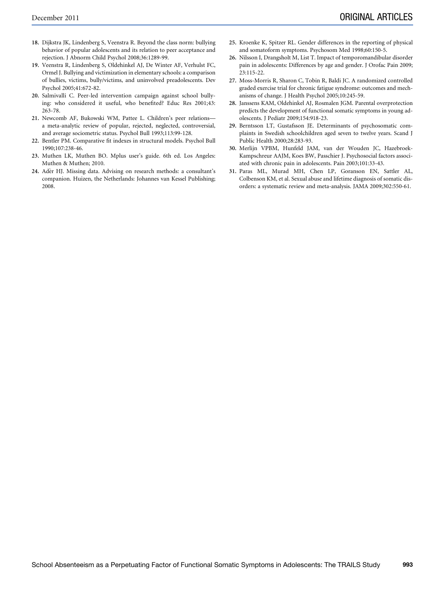- <span id="page-5-0"></span>18. Dijkstra JK, Lindenberg S, Veenstra R. Beyond the class norm: bullying behavior of popular adolescents and its relation to peer acceptance and rejection. J Abnorm Child Psychol 2008;36:1289-99.
- 19. Veenstra R, Lindenberg S, Oldehinkel AJ, De Winter AF, Verhulst FC, Ormel J. Bullying and victimization in elementary schools: a comparison of bullies, victims, bully/victims, and uninvolved preadolescents. Dev Psychol 2005;41:672-82.
- 20. Salmivalli C. Peer-led intervention campaign against school bullying: who considered it useful, who benefited? Educ Res 2001;43: 263-78.
- 21. Newcomb AF, Bukowski WM, Pattee L. Children's peer relations a meta-analytic review of popular, rejected, neglected, controversial, and average sociometric status. Psychol Bull 1993;113:99-128.
- 22. Bentler PM. Comparative fit indexes in structural models. Psychol Bull 1990;107:238-46.
- 23. Muthen LK, Muthen BO. Mplus user's guide. 6th ed. Los Angeles: Muthen & Muthen; 2010.
- 24. Ader HJ. Missing data. Advising on research methods: a consultant's companion. Huizen, the Netherlands: Johannes van Kessel Publishing; 2008.
- 25. Kroenke K, Spitzer RL. Gender differences in the reporting of physical and somatoform symptoms. Psychosom Med 1998;60:150-5.
- 26. Nilsson I, Drangsholt M, List T. Impact of temporomandibular disorder pain in adolescents: Differences by age and gender. J Orofac Pain 2009; 23:115-22.
- 27. Moss-Morris R, Sharon C, Tobin R, Baldi JC. A randomized controlled graded exercise trial for chronic fatigue syndrome: outcomes and mechanisms of change. J Health Psychol 2005;10:245-59.
- 28. Janssens KAM, Oldehinkel AJ, Rosmalen JGM. Parental overprotection predicts the development of functional somatic symptoms in young adolescents. J Pediatr 2009;154:918-23.
- 29. Berntsson LT, Gustafsson JE. Determinants of psychosomatic complaints in Swedish schoolchildren aged seven to twelve years. Scand J Public Health 2000;28:283-93.
- 30. Merlijn VPBM, Hunfeld JAM, van der Wouden JC, Hazebroek-Kampschreur AAJM, Koes BW, Passchier J. Psychosocial factors associated with chronic pain in adolescents. Pain 2003;101:33-43.
- 31. Paras ML, Murad MH, Chen LP, Goranson EN, Sattler AL, Colbenson KM, et al. Sexual abuse and lifetime diagnosis of somatic disorders: a systematic review and meta-analysis. JAMA 2009;302:550-61.